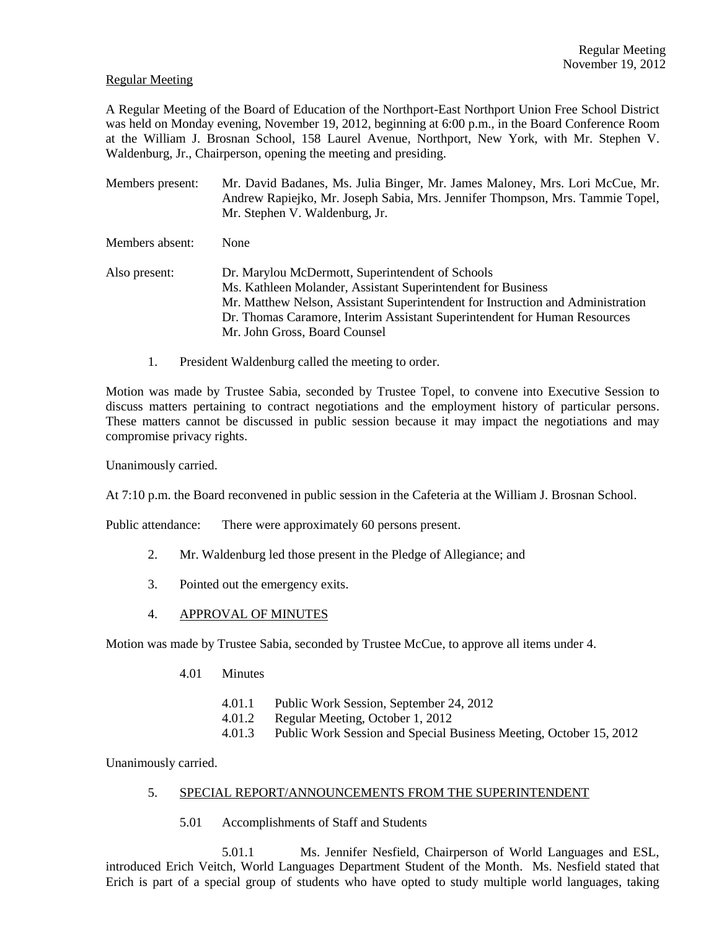#### Regular Meeting

A Regular Meeting of the Board of Education of the Northport-East Northport Union Free School District was held on Monday evening, November 19, 2012, beginning at 6:00 p.m., in the Board Conference Room at the William J. Brosnan School, 158 Laurel Avenue, Northport, New York, with Mr. Stephen V. Waldenburg, Jr., Chairperson, opening the meeting and presiding.

- Members present: Mr. David Badanes, Ms. Julia Binger, Mr. James Maloney, Mrs. Lori McCue, Mr. Andrew Rapiejko, Mr. Joseph Sabia, Mrs. Jennifer Thompson, Mrs. Tammie Topel, Mr. Stephen V. Waldenburg, Jr.
- Members absent: None
- Also present: Dr. Marylou McDermott, Superintendent of Schools Ms. Kathleen Molander, Assistant Superintendent for Business Mr. Matthew Nelson, Assistant Superintendent for Instruction and Administration Dr. Thomas Caramore, Interim Assistant Superintendent for Human Resources Mr. John Gross, Board Counsel
	- 1. President Waldenburg called the meeting to order.

Motion was made by Trustee Sabia, seconded by Trustee Topel, to convene into Executive Session to discuss matters pertaining to contract negotiations and the employment history of particular persons. These matters cannot be discussed in public session because it may impact the negotiations and may compromise privacy rights.

Unanimously carried.

At 7:10 p.m. the Board reconvened in public session in the Cafeteria at the William J. Brosnan School.

Public attendance: There were approximately 60 persons present.

- 2. Mr. Waldenburg led those present in the Pledge of Allegiance; and
- 3. Pointed out the emergency exits.
- 4. APPROVAL OF MINUTES

Motion was made by Trustee Sabia, seconded by Trustee McCue, to approve all items under 4.

- 4.01 Minutes
	- 4.01.1 Public Work Session, September 24, 2012
	- 4.01.2 Regular Meeting, October 1, 2012
	- 4.01.3 Public Work Session and Special Business Meeting, October 15, 2012

Unanimously carried.

## 5. SPECIAL REPORT/ANNOUNCEMENTS FROM THE SUPERINTENDENT

5.01 Accomplishments of Staff and Students

5.01.1 Ms. Jennifer Nesfield, Chairperson of World Languages and ESL, introduced Erich Veitch, World Languages Department Student of the Month. Ms. Nesfield stated that Erich is part of a special group of students who have opted to study multiple world languages, taking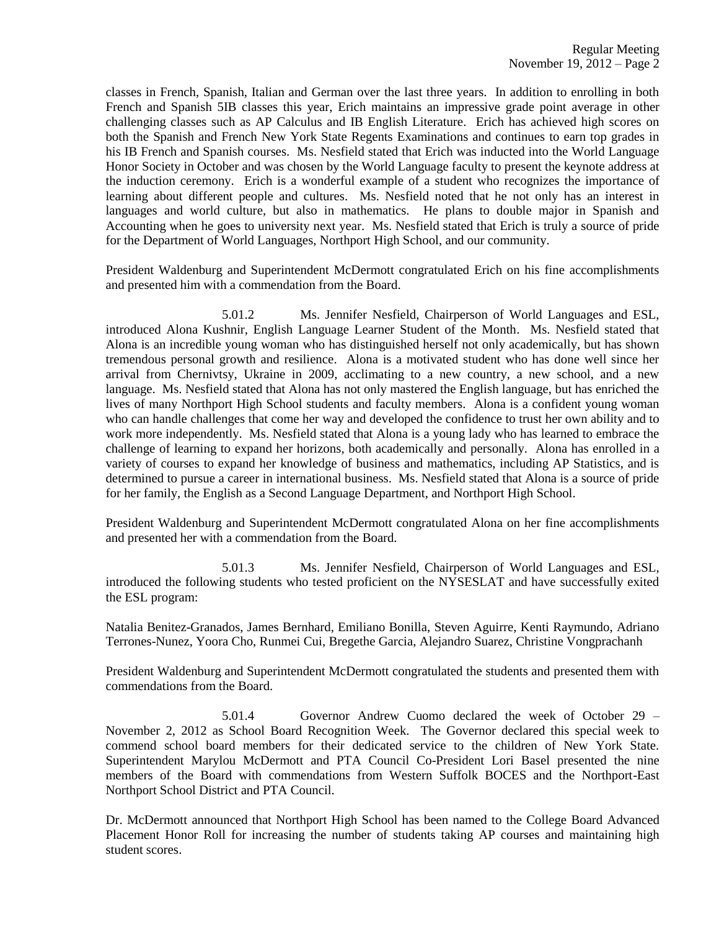classes in French, Spanish, Italian and German over the last three years. In addition to enrolling in both French and Spanish 5IB classes this year, Erich maintains an impressive grade point average in other challenging classes such as AP Calculus and IB English Literature. Erich has achieved high scores on both the Spanish and French New York State Regents Examinations and continues to earn top grades in his IB French and Spanish courses. Ms. Nesfield stated that Erich was inducted into the World Language Honor Society in October and was chosen by the World Language faculty to present the keynote address at the induction ceremony. Erich is a wonderful example of a student who recognizes the importance of learning about different people and cultures. Ms. Nesfield noted that he not only has an interest in languages and world culture, but also in mathematics. He plans to double major in Spanish and Accounting when he goes to university next year. Ms. Nesfield stated that Erich is truly a source of pride for the Department of World Languages, Northport High School, and our community.

President Waldenburg and Superintendent McDermott congratulated Erich on his fine accomplishments and presented him with a commendation from the Board.

5.01.2 Ms. Jennifer Nesfield, Chairperson of World Languages and ESL, introduced Alona Kushnir, English Language Learner Student of the Month. Ms. Nesfield stated that Alona is an incredible young woman who has distinguished herself not only academically, but has shown tremendous personal growth and resilience. Alona is a motivated student who has done well since her arrival from Chernivtsy, Ukraine in 2009, acclimating to a new country, a new school, and a new language. Ms. Nesfield stated that Alona has not only mastered the English language, but has enriched the lives of many Northport High School students and faculty members. Alona is a confident young woman who can handle challenges that come her way and developed the confidence to trust her own ability and to work more independently. Ms. Nesfield stated that Alona is a young lady who has learned to embrace the challenge of learning to expand her horizons, both academically and personally. Alona has enrolled in a variety of courses to expand her knowledge of business and mathematics, including AP Statistics, and is determined to pursue a career in international business. Ms. Nesfield stated that Alona is a source of pride for her family, the English as a Second Language Department, and Northport High School.

President Waldenburg and Superintendent McDermott congratulated Alona on her fine accomplishments and presented her with a commendation from the Board.

5.01.3 Ms. Jennifer Nesfield, Chairperson of World Languages and ESL, introduced the following students who tested proficient on the NYSESLAT and have successfully exited the ESL program:

Natalia Benitez-Granados, James Bernhard, Emiliano Bonilla, Steven Aguirre, Kenti Raymundo, Adriano Terrones-Nunez, Yoora Cho, Runmei Cui, Bregethe Garcia, Alejandro Suarez, Christine Vongprachanh

President Waldenburg and Superintendent McDermott congratulated the students and presented them with commendations from the Board.

5.01.4 Governor Andrew Cuomo declared the week of October 29 – November 2, 2012 as School Board Recognition Week. The Governor declared this special week to commend school board members for their dedicated service to the children of New York State. Superintendent Marylou McDermott and PTA Council Co-President Lori Basel presented the nine members of the Board with commendations from Western Suffolk BOCES and the Northport-East Northport School District and PTA Council.

Dr. McDermott announced that Northport High School has been named to the College Board Advanced Placement Honor Roll for increasing the number of students taking AP courses and maintaining high student scores.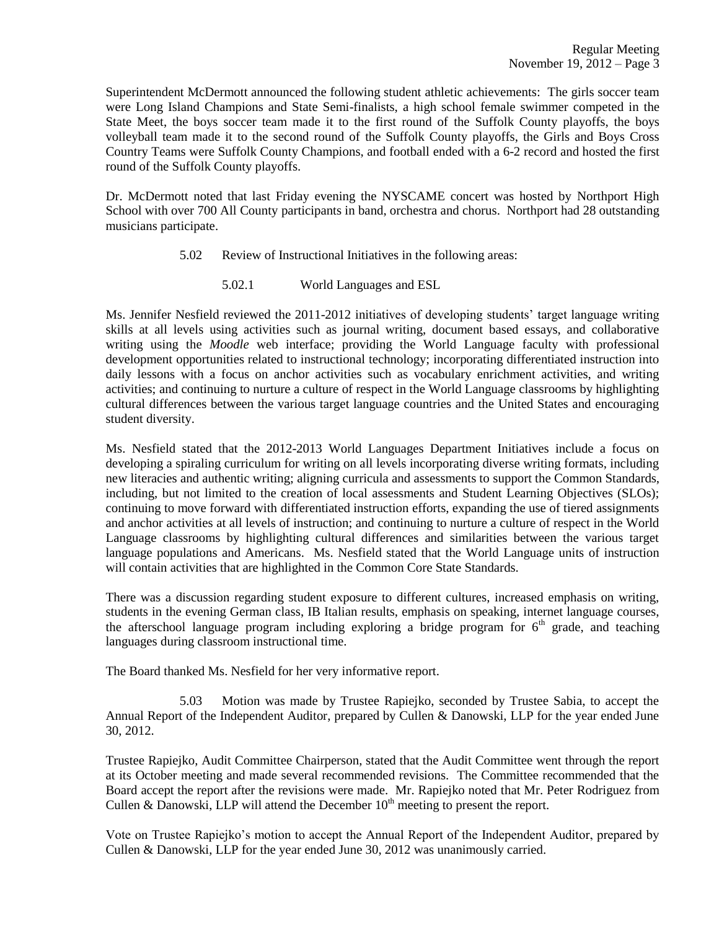Superintendent McDermott announced the following student athletic achievements: The girls soccer team were Long Island Champions and State Semi-finalists, a high school female swimmer competed in the State Meet, the boys soccer team made it to the first round of the Suffolk County playoffs, the boys volleyball team made it to the second round of the Suffolk County playoffs, the Girls and Boys Cross Country Teams were Suffolk County Champions, and football ended with a 6-2 record and hosted the first round of the Suffolk County playoffs.

Dr. McDermott noted that last Friday evening the NYSCAME concert was hosted by Northport High School with over 700 All County participants in band, orchestra and chorus. Northport had 28 outstanding musicians participate.

- 5.02 Review of Instructional Initiatives in the following areas:
	- 5.02.1 World Languages and ESL

Ms. Jennifer Nesfield reviewed the 2011-2012 initiatives of developing students' target language writing skills at all levels using activities such as journal writing, document based essays, and collaborative writing using the *Moodle* web interface; providing the World Language faculty with professional development opportunities related to instructional technology; incorporating differentiated instruction into daily lessons with a focus on anchor activities such as vocabulary enrichment activities, and writing activities; and continuing to nurture a culture of respect in the World Language classrooms by highlighting cultural differences between the various target language countries and the United States and encouraging student diversity.

Ms. Nesfield stated that the 2012-2013 World Languages Department Initiatives include a focus on developing a spiraling curriculum for writing on all levels incorporating diverse writing formats, including new literacies and authentic writing; aligning curricula and assessments to support the Common Standards, including, but not limited to the creation of local assessments and Student Learning Objectives (SLOs); continuing to move forward with differentiated instruction efforts, expanding the use of tiered assignments and anchor activities at all levels of instruction; and continuing to nurture a culture of respect in the World Language classrooms by highlighting cultural differences and similarities between the various target language populations and Americans. Ms. Nesfield stated that the World Language units of instruction will contain activities that are highlighted in the Common Core State Standards.

There was a discussion regarding student exposure to different cultures, increased emphasis on writing, students in the evening German class, IB Italian results, emphasis on speaking, internet language courses, the afterschool language program including exploring a bridge program for  $6<sup>th</sup>$  grade, and teaching languages during classroom instructional time.

The Board thanked Ms. Nesfield for her very informative report.

5.03 Motion was made by Trustee Rapiejko, seconded by Trustee Sabia, to accept the Annual Report of the Independent Auditor, prepared by Cullen & Danowski, LLP for the year ended June 30, 2012.

Trustee Rapiejko, Audit Committee Chairperson, stated that the Audit Committee went through the report at its October meeting and made several recommended revisions. The Committee recommended that the Board accept the report after the revisions were made. Mr. Rapiejko noted that Mr. Peter Rodriguez from Cullen & Danowski, LLP will attend the December  $10<sup>th</sup>$  meeting to present the report.

Vote on Trustee Rapiejko's motion to accept the Annual Report of the Independent Auditor, prepared by Cullen & Danowski, LLP for the year ended June 30, 2012 was unanimously carried.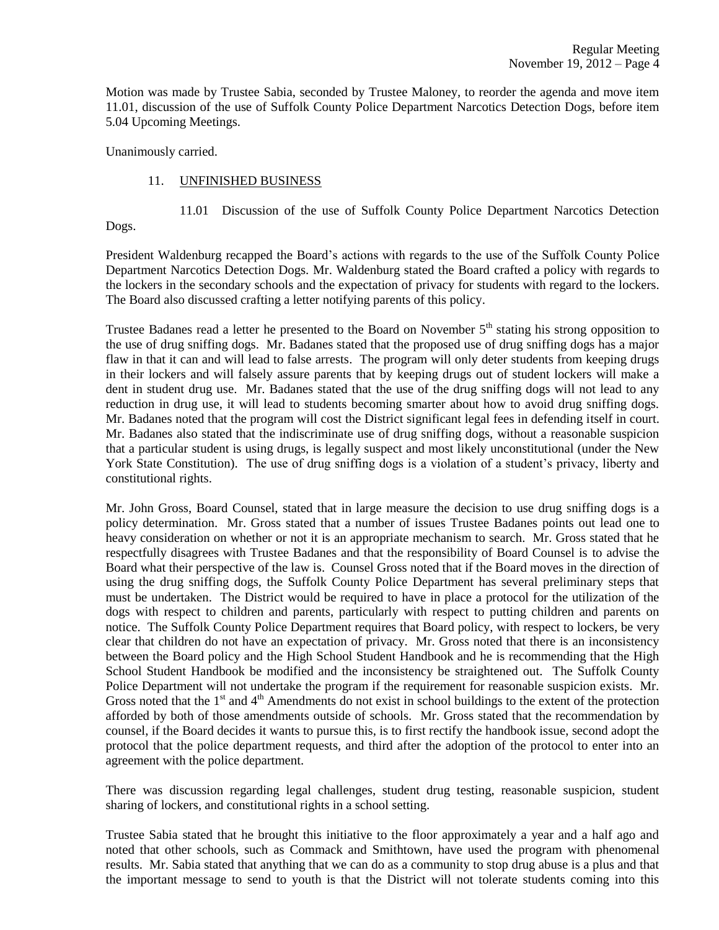Motion was made by Trustee Sabia, seconded by Trustee Maloney, to reorder the agenda and move item 11.01, discussion of the use of Suffolk County Police Department Narcotics Detection Dogs, before item 5.04 Upcoming Meetings.

Unanimously carried.

## 11. UNFINISHED BUSINESS

11.01 Discussion of the use of Suffolk County Police Department Narcotics Detection

Dogs.

President Waldenburg recapped the Board's actions with regards to the use of the Suffolk County Police Department Narcotics Detection Dogs. Mr. Waldenburg stated the Board crafted a policy with regards to the lockers in the secondary schools and the expectation of privacy for students with regard to the lockers. The Board also discussed crafting a letter notifying parents of this policy.

Trustee Badanes read a letter he presented to the Board on November  $5<sup>th</sup>$  stating his strong opposition to the use of drug sniffing dogs. Mr. Badanes stated that the proposed use of drug sniffing dogs has a major flaw in that it can and will lead to false arrests. The program will only deter students from keeping drugs in their lockers and will falsely assure parents that by keeping drugs out of student lockers will make a dent in student drug use. Mr. Badanes stated that the use of the drug sniffing dogs will not lead to any reduction in drug use, it will lead to students becoming smarter about how to avoid drug sniffing dogs. Mr. Badanes noted that the program will cost the District significant legal fees in defending itself in court. Mr. Badanes also stated that the indiscriminate use of drug sniffing dogs, without a reasonable suspicion that a particular student is using drugs, is legally suspect and most likely unconstitutional (under the New York State Constitution). The use of drug sniffing dogs is a violation of a student's privacy, liberty and constitutional rights.

Mr. John Gross, Board Counsel, stated that in large measure the decision to use drug sniffing dogs is a policy determination. Mr. Gross stated that a number of issues Trustee Badanes points out lead one to heavy consideration on whether or not it is an appropriate mechanism to search. Mr. Gross stated that he respectfully disagrees with Trustee Badanes and that the responsibility of Board Counsel is to advise the Board what their perspective of the law is. Counsel Gross noted that if the Board moves in the direction of using the drug sniffing dogs, the Suffolk County Police Department has several preliminary steps that must be undertaken. The District would be required to have in place a protocol for the utilization of the dogs with respect to children and parents, particularly with respect to putting children and parents on notice. The Suffolk County Police Department requires that Board policy, with respect to lockers, be very clear that children do not have an expectation of privacy. Mr. Gross noted that there is an inconsistency between the Board policy and the High School Student Handbook and he is recommending that the High School Student Handbook be modified and the inconsistency be straightened out. The Suffolk County Police Department will not undertake the program if the requirement for reasonable suspicion exists. Mr. Gross noted that the  $1<sup>st</sup>$  and  $4<sup>th</sup>$  Amendments do not exist in school buildings to the extent of the protection afforded by both of those amendments outside of schools. Mr. Gross stated that the recommendation by counsel, if the Board decides it wants to pursue this, is to first rectify the handbook issue, second adopt the protocol that the police department requests, and third after the adoption of the protocol to enter into an agreement with the police department.

There was discussion regarding legal challenges, student drug testing, reasonable suspicion, student sharing of lockers, and constitutional rights in a school setting.

Trustee Sabia stated that he brought this initiative to the floor approximately a year and a half ago and noted that other schools, such as Commack and Smithtown, have used the program with phenomenal results. Mr. Sabia stated that anything that we can do as a community to stop drug abuse is a plus and that the important message to send to youth is that the District will not tolerate students coming into this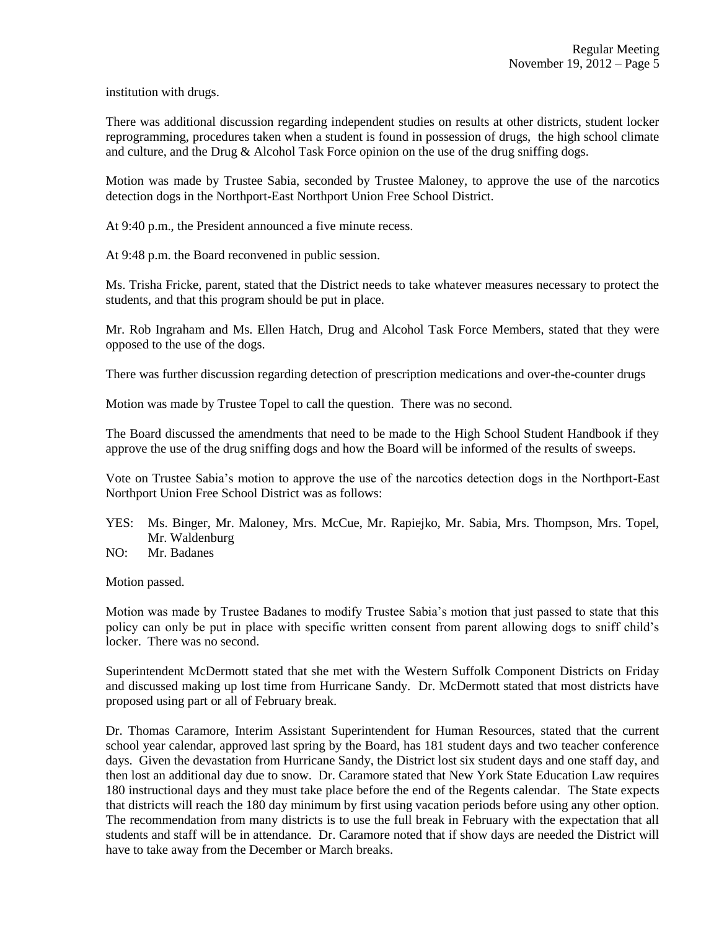institution with drugs.

There was additional discussion regarding independent studies on results at other districts, student locker reprogramming, procedures taken when a student is found in possession of drugs, the high school climate and culture, and the Drug & Alcohol Task Force opinion on the use of the drug sniffing dogs.

Motion was made by Trustee Sabia, seconded by Trustee Maloney, to approve the use of the narcotics detection dogs in the Northport-East Northport Union Free School District.

At 9:40 p.m., the President announced a five minute recess.

At 9:48 p.m. the Board reconvened in public session.

Ms. Trisha Fricke, parent, stated that the District needs to take whatever measures necessary to protect the students, and that this program should be put in place.

Mr. Rob Ingraham and Ms. Ellen Hatch, Drug and Alcohol Task Force Members, stated that they were opposed to the use of the dogs.

There was further discussion regarding detection of prescription medications and over-the-counter drugs

Motion was made by Trustee Topel to call the question. There was no second.

The Board discussed the amendments that need to be made to the High School Student Handbook if they approve the use of the drug sniffing dogs and how the Board will be informed of the results of sweeps.

Vote on Trustee Sabia's motion to approve the use of the narcotics detection dogs in the Northport-East Northport Union Free School District was as follows:

- YES: Ms. Binger, Mr. Maloney, Mrs. McCue, Mr. Rapiejko, Mr. Sabia, Mrs. Thompson, Mrs. Topel, Mr. Waldenburg
- NO: Mr. Badanes

Motion passed.

Motion was made by Trustee Badanes to modify Trustee Sabia's motion that just passed to state that this policy can only be put in place with specific written consent from parent allowing dogs to sniff child's locker. There was no second.

Superintendent McDermott stated that she met with the Western Suffolk Component Districts on Friday and discussed making up lost time from Hurricane Sandy. Dr. McDermott stated that most districts have proposed using part or all of February break.

Dr. Thomas Caramore, Interim Assistant Superintendent for Human Resources, stated that the current school year calendar, approved last spring by the Board, has 181 student days and two teacher conference days. Given the devastation from Hurricane Sandy, the District lost six student days and one staff day, and then lost an additional day due to snow. Dr. Caramore stated that New York State Education Law requires 180 instructional days and they must take place before the end of the Regents calendar. The State expects that districts will reach the 180 day minimum by first using vacation periods before using any other option. The recommendation from many districts is to use the full break in February with the expectation that all students and staff will be in attendance. Dr. Caramore noted that if show days are needed the District will have to take away from the December or March breaks.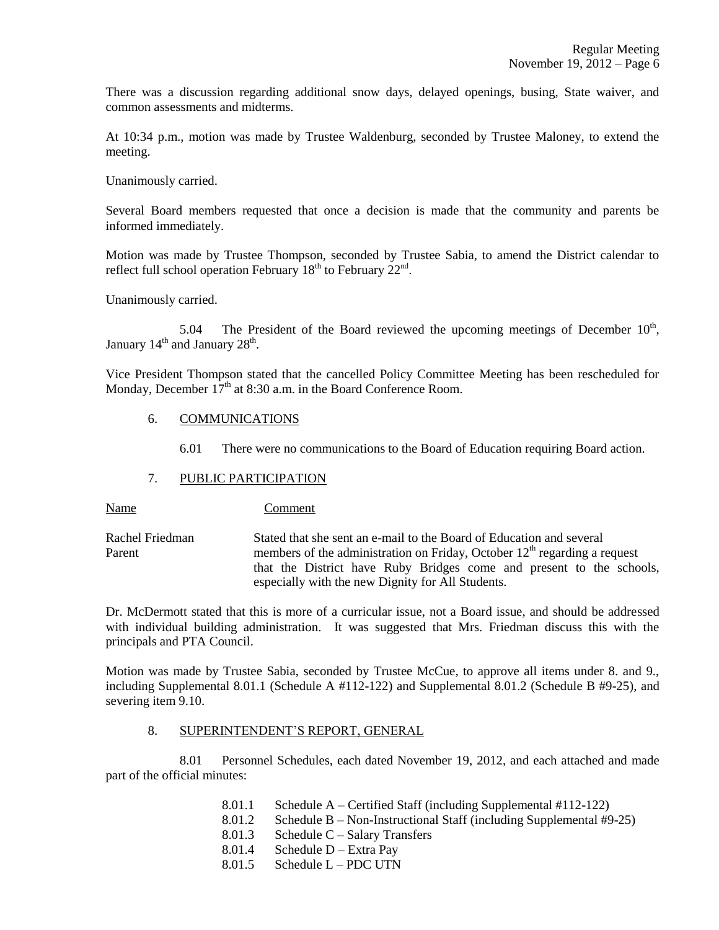There was a discussion regarding additional snow days, delayed openings, busing, State waiver, and common assessments and midterms.

At 10:34 p.m., motion was made by Trustee Waldenburg, seconded by Trustee Maloney, to extend the meeting.

Unanimously carried.

Several Board members requested that once a decision is made that the community and parents be informed immediately.

Motion was made by Trustee Thompson, seconded by Trustee Sabia, to amend the District calendar to reflect full school operation February  $18<sup>th</sup>$  to February  $22<sup>nd</sup>$ .

Unanimously carried.

5.04 The President of the Board reviewed the upcoming meetings of December  $10<sup>th</sup>$ , January  $14<sup>th</sup>$  and January  $28<sup>th</sup>$ .

Vice President Thompson stated that the cancelled Policy Committee Meeting has been rescheduled for Monday, December  $17<sup>th</sup>$  at 8:30 a.m. in the Board Conference Room.

#### 6. COMMUNICATIONS

6.01 There were no communications to the Board of Education requiring Board action.

## 7. PUBLIC PARTICIPATION

Name Comment

Rachel Friedman Stated that she sent an e-mail to the Board of Education and several Parent members of the administration on Friday, October  $12<sup>th</sup>$  regarding a request that the District have Ruby Bridges come and present to the schools, especially with the new Dignity for All Students.

Dr. McDermott stated that this is more of a curricular issue, not a Board issue, and should be addressed with individual building administration. It was suggested that Mrs. Friedman discuss this with the principals and PTA Council.

Motion was made by Trustee Sabia, seconded by Trustee McCue, to approve all items under 8. and 9., including Supplemental 8.01.1 (Schedule A #112-122) and Supplemental 8.01.2 (Schedule B #9-25), and severing item 9.10.

#### 8. SUPERINTENDENT'S REPORT, GENERAL

8.01 Personnel Schedules, each dated November 19, 2012, and each attached and made part of the official minutes:

- 8.01.1 Schedule A Certified Staff (including Supplemental #112-122)
- 8.01.2 Schedule B Non-Instructional Staff (including Supplemental #9-25)
- 8.01.3 Schedule C Salary Transfers
- 8.01.4 Schedule D Extra Pay
- 8.01.5 Schedule L PDC UTN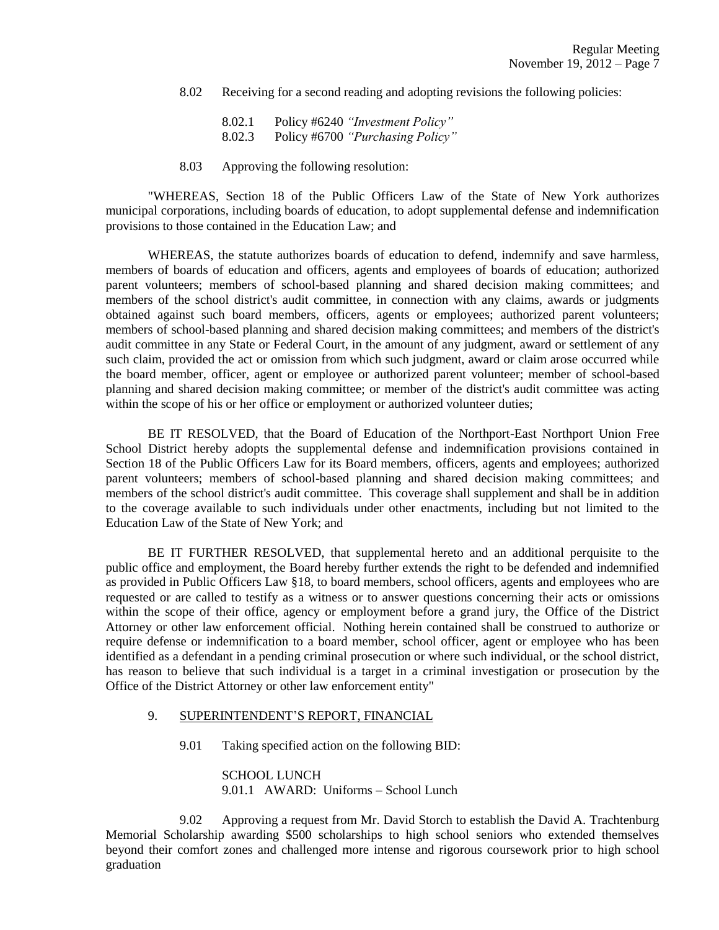8.02 Receiving for a second reading and adopting revisions the following policies:

8.02.1 Policy #6240 *"Investment Policy"* 8.02.3 Policy #6700 *"Purchasing Policy"*

8.03 Approving the following resolution:

"WHEREAS, Section 18 of the Public Officers Law of the State of New York authorizes municipal corporations, including boards of education, to adopt supplemental defense and indemnification provisions to those contained in the Education Law; and

WHEREAS, the statute authorizes boards of education to defend, indemnify and save harmless, members of boards of education and officers, agents and employees of boards of education; authorized parent volunteers; members of school-based planning and shared decision making committees; and members of the school district's audit committee, in connection with any claims, awards or judgments obtained against such board members, officers, agents or employees; authorized parent volunteers; members of school-based planning and shared decision making committees; and members of the district's audit committee in any State or Federal Court, in the amount of any judgment, award or settlement of any such claim, provided the act or omission from which such judgment, award or claim arose occurred while the board member, officer, agent or employee or authorized parent volunteer; member of school-based planning and shared decision making committee; or member of the district's audit committee was acting within the scope of his or her office or employment or authorized volunteer duties;

BE IT RESOLVED, that the Board of Education of the Northport-East Northport Union Free School District hereby adopts the supplemental defense and indemnification provisions contained in Section 18 of the Public Officers Law for its Board members, officers, agents and employees; authorized parent volunteers; members of school-based planning and shared decision making committees; and members of the school district's audit committee. This coverage shall supplement and shall be in addition to the coverage available to such individuals under other enactments, including but not limited to the Education Law of the State of New York; and

BE IT FURTHER RESOLVED, that supplemental hereto and an additional perquisite to the public office and employment, the Board hereby further extends the right to be defended and indemnified as provided in Public Officers Law §18, to board members, school officers, agents and employees who are requested or are called to testify as a witness or to answer questions concerning their acts or omissions within the scope of their office, agency or employment before a grand jury, the Office of the District Attorney or other law enforcement official. Nothing herein contained shall be construed to authorize or require defense or indemnification to a board member, school officer, agent or employee who has been identified as a defendant in a pending criminal prosecution or where such individual, or the school district, has reason to believe that such individual is a target in a criminal investigation or prosecution by the Office of the District Attorney or other law enforcement entity"

## 9. SUPERINTENDENT'S REPORT, FINANCIAL

9.01 Taking specified action on the following BID:

SCHOOL LUNCH 9.01.1 AWARD: Uniforms – School Lunch

9.02 Approving a request from Mr. David Storch to establish the David A. Trachtenburg Memorial Scholarship awarding \$500 scholarships to high school seniors who extended themselves beyond their comfort zones and challenged more intense and rigorous coursework prior to high school graduation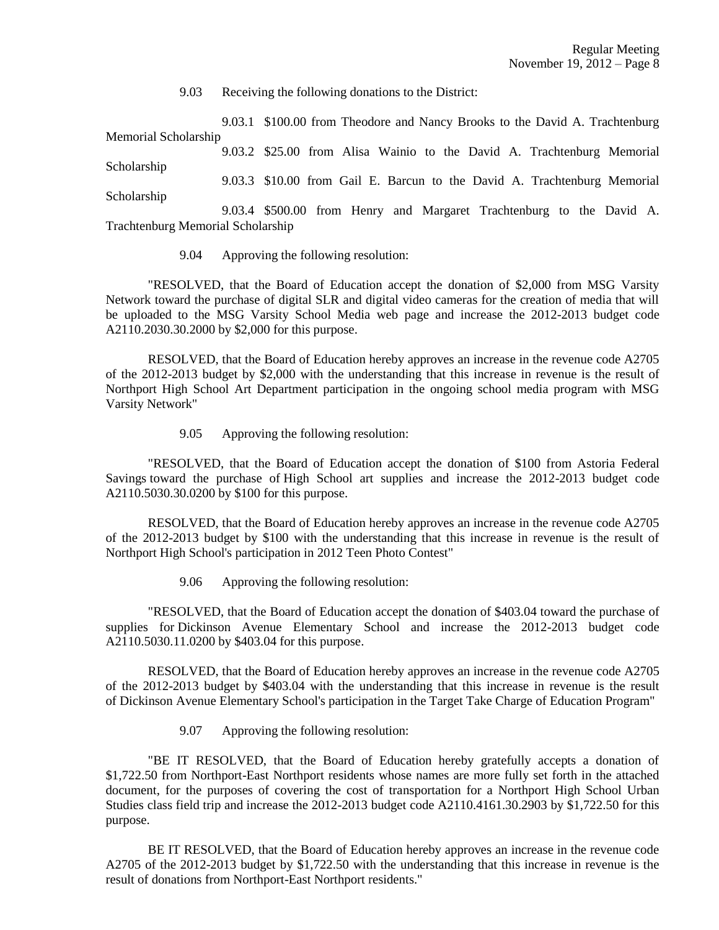9.03 Receiving the following donations to the District:

9.03.1 \$100.00 from Theodore and Nancy Brooks to the David A. Trachtenburg Memorial Scholarship

9.03.2 \$25.00 from Alisa Wainio to the David A. Trachtenburg Memorial Scholarship 9.03.3 \$10.00 from Gail E. Barcun to the David A. Trachtenburg Memorial Scholarship

9.03.4 \$500.00 from Henry and Margaret Trachtenburg to the David A. Trachtenburg Memorial Scholarship

9.04 Approving the following resolution:

"RESOLVED, that the Board of Education accept the donation of \$2,000 from MSG Varsity Network toward the purchase of digital SLR and digital video cameras for the creation of media that will be uploaded to the MSG Varsity School Media web page and increase the 2012-2013 budget code A2110.2030.30.2000 by \$2,000 for this purpose.

RESOLVED, that the Board of Education hereby approves an increase in the revenue code A2705 of the 2012-2013 budget by \$2,000 with the understanding that this increase in revenue is the result of Northport High School Art Department participation in the ongoing school media program with MSG Varsity Network"

9.05 Approving the following resolution:

"RESOLVED, that the Board of Education accept the donation of \$100 from Astoria Federal Savings toward the purchase of High School art supplies and increase the 2012-2013 budget code A2110.5030.30.0200 by \$100 for this purpose.

RESOLVED, that the Board of Education hereby approves an increase in the revenue code A2705 of the 2012-2013 budget by \$100 with the understanding that this increase in revenue is the result of Northport High School's participation in 2012 Teen Photo Contest"

9.06 Approving the following resolution:

"RESOLVED, that the Board of Education accept the donation of \$403.04 toward the purchase of supplies for Dickinson Avenue Elementary School and increase the 2012-2013 budget code A2110.5030.11.0200 by \$403.04 for this purpose.

RESOLVED, that the Board of Education hereby approves an increase in the revenue code A2705 of the 2012-2013 budget by \$403.04 with the understanding that this increase in revenue is the result of Dickinson Avenue Elementary School's participation in the Target Take Charge of Education Program"

9.07 Approving the following resolution:

"BE IT RESOLVED, that the Board of Education hereby gratefully accepts a donation of \$1,722.50 from Northport-East Northport residents whose names are more fully set forth in the attached document, for the purposes of covering the cost of transportation for a Northport High School Urban Studies class field trip and increase the 2012-2013 budget code A2110.4161.30.2903 by \$1,722.50 for this purpose.

BE IT RESOLVED, that the Board of Education hereby approves an increase in the revenue code A2705 of the 2012-2013 budget by \$1,722.50 with the understanding that this increase in revenue is the result of donations from Northport-East Northport residents."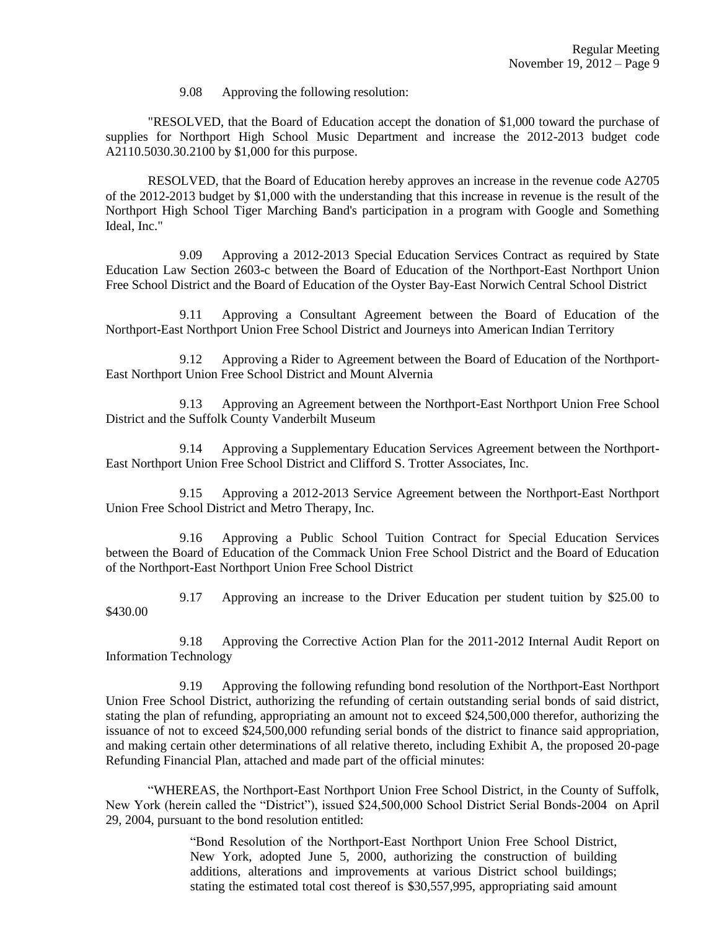9.08 Approving the following resolution:

"RESOLVED, that the Board of Education accept the donation of \$1,000 toward the purchase of supplies for Northport High School Music Department and increase the 2012-2013 budget code A2110.5030.30.2100 by \$1,000 for this purpose.

RESOLVED, that the Board of Education hereby approves an increase in the revenue code A2705 of the 2012-2013 budget by \$1,000 with the understanding that this increase in revenue is the result of the Northport High School Tiger Marching Band's participation in a program with Google and Something Ideal, Inc."

9.09 Approving a 2012-2013 Special Education Services Contract as required by State Education Law Section 2603-c between the Board of Education of the Northport-East Northport Union Free School District and the Board of Education of the Oyster Bay-East Norwich Central School District

9.11 Approving a Consultant Agreement between the Board of Education of the Northport-East Northport Union Free School District and Journeys into American Indian Territory

9.12 Approving a Rider to Agreement between the Board of Education of the Northport-East Northport Union Free School District and Mount Alvernia

9.13 Approving an Agreement between the Northport-East Northport Union Free School District and the Suffolk County Vanderbilt Museum

9.14 Approving a Supplementary Education Services Agreement between the Northport-East Northport Union Free School District and Clifford S. Trotter Associates, Inc.

9.15 Approving a 2012-2013 Service Agreement between the Northport-East Northport Union Free School District and Metro Therapy, Inc.

9.16 Approving a Public School Tuition Contract for Special Education Services between the Board of Education of the Commack Union Free School District and the Board of Education of the Northport-East Northport Union Free School District

9.17 Approving an increase to the Driver Education per student tuition by \$25.00 to \$430.00

9.18 Approving the Corrective Action Plan for the 2011-2012 Internal Audit Report on Information Technology

9.19 Approving the following refunding bond resolution of the Northport-East Northport Union Free School District, authorizing the refunding of certain outstanding serial bonds of said district, stating the plan of refunding, appropriating an amount not to exceed \$24,500,000 therefor, authorizing the issuance of not to exceed \$24,500,000 refunding serial bonds of the district to finance said appropriation, and making certain other determinations of all relative thereto, including Exhibit A, the proposed 20-page Refunding Financial Plan, attached and made part of the official minutes:

"WHEREAS, the Northport-East Northport Union Free School District, in the County of Suffolk, New York (herein called the "District"), issued \$24,500,000 School District Serial Bonds-2004 on April 29, 2004, pursuant to the bond resolution entitled:

> "Bond Resolution of the Northport-East Northport Union Free School District, New York, adopted June 5, 2000, authorizing the construction of building additions, alterations and improvements at various District school buildings; stating the estimated total cost thereof is \$30,557,995, appropriating said amount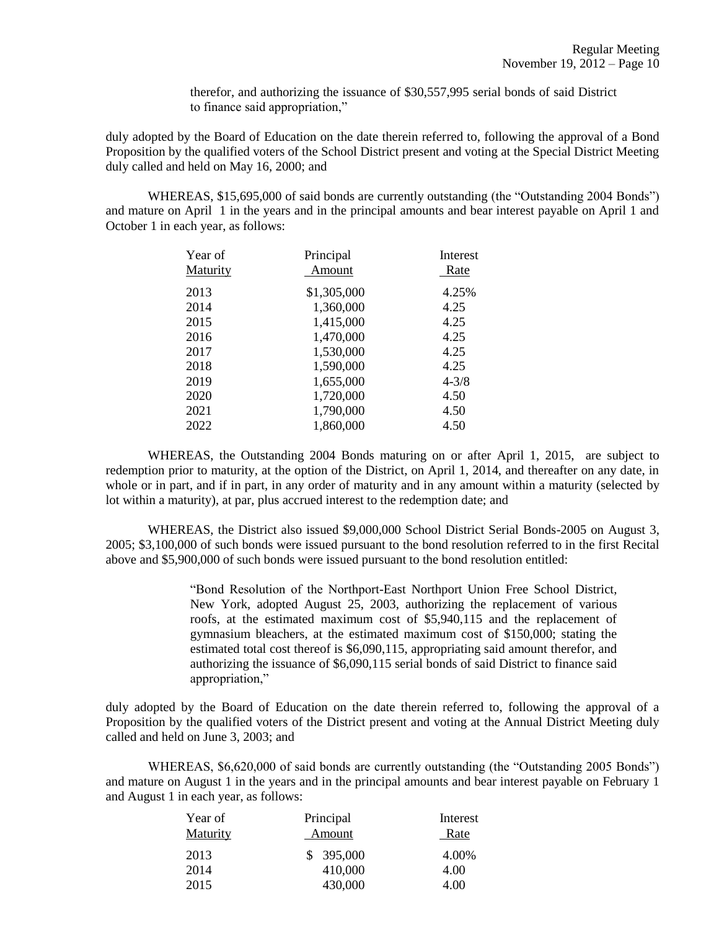therefor, and authorizing the issuance of \$30,557,995 serial bonds of said District to finance said appropriation,"

duly adopted by the Board of Education on the date therein referred to, following the approval of a Bond Proposition by the qualified voters of the School District present and voting at the Special District Meeting duly called and held on May 16, 2000; and

WHEREAS, \$15,695,000 of said bonds are currently outstanding (the "Outstanding 2004 Bonds") and mature on April 1 in the years and in the principal amounts and bear interest payable on April 1 and October 1 in each year, as follows:

| Year of         | Principal   | Interest  |
|-----------------|-------------|-----------|
| <b>Maturity</b> | Amount      | Rate      |
| 2013            | \$1,305,000 | 4.25%     |
| 2014            | 1,360,000   | 4.25      |
| 2015            | 1,415,000   | 4.25      |
| 2016            | 1,470,000   | 4.25      |
| 2017            | 1,530,000   | 4.25      |
| 2018            | 1,590,000   | 4.25      |
| 2019            | 1,655,000   | $4 - 3/8$ |
| 2020            | 1,720,000   | 4.50      |
| 2021            | 1,790,000   | 4.50      |
| 2022            | 1,860,000   | 4.50      |

WHEREAS, the Outstanding 2004 Bonds maturing on or after April 1, 2015, are subject to redemption prior to maturity, at the option of the District, on April 1, 2014, and thereafter on any date, in whole or in part, and if in part, in any order of maturity and in any amount within a maturity (selected by lot within a maturity), at par, plus accrued interest to the redemption date; and

WHEREAS, the District also issued \$9,000,000 School District Serial Bonds-2005 on August 3, 2005; \$3,100,000 of such bonds were issued pursuant to the bond resolution referred to in the first Recital above and \$5,900,000 of such bonds were issued pursuant to the bond resolution entitled:

> "Bond Resolution of the Northport-East Northport Union Free School District, New York, adopted August 25, 2003, authorizing the replacement of various roofs, at the estimated maximum cost of \$5,940,115 and the replacement of gymnasium bleachers, at the estimated maximum cost of \$150,000; stating the estimated total cost thereof is \$6,090,115, appropriating said amount therefor, and authorizing the issuance of \$6,090,115 serial bonds of said District to finance said appropriation,"

duly adopted by the Board of Education on the date therein referred to, following the approval of a Proposition by the qualified voters of the District present and voting at the Annual District Meeting duly called and held on June 3, 2003; and

WHEREAS, \$6,620,000 of said bonds are currently outstanding (the "Outstanding 2005 Bonds") and mature on August 1 in the years and in the principal amounts and bear interest payable on February 1 and August 1 in each year, as follows:

| Year of  | Principal | Interest |
|----------|-----------|----------|
| Maturity | Amount    | Rate     |
| 2013     | 395,000   | 4.00%    |
| 2014     | 410,000   | 4.00     |
| 2015     | 430,000   | 4.00     |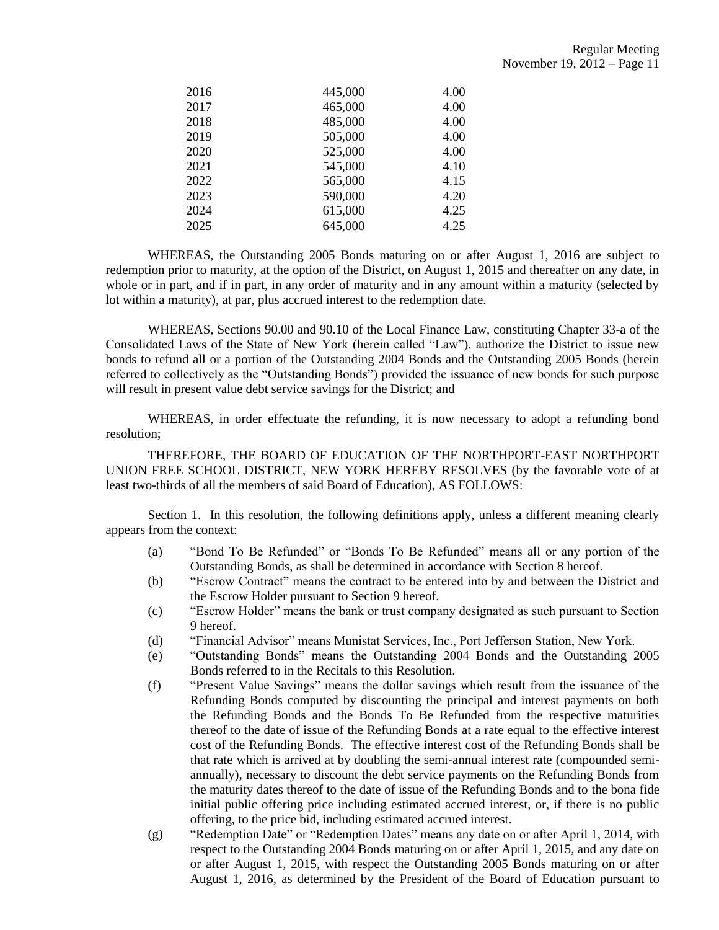| 2016 | 445,000 | 4.00 |
|------|---------|------|
| 2017 | 465,000 | 4.00 |
| 2018 | 485,000 | 4.00 |
| 2019 | 505,000 | 4.00 |
| 2020 | 525,000 | 4.00 |
| 2021 | 545,000 | 4.10 |
| 2022 | 565,000 | 4.15 |
| 2023 | 590,000 | 4.20 |
| 2024 | 615,000 | 4.25 |
| 2025 | 645,000 | 4.25 |

WHEREAS, the Outstanding 2005 Bonds maturing on or after August 1, 2016 are subject to redemption prior to maturity, at the option of the District, on August 1, 2015 and thereafter on any date, in whole or in part, and if in part, in any order of maturity and in any amount within a maturity (selected by lot within a maturity), at par, plus accrued interest to the redemption date.

WHEREAS, Sections 90.00 and 90.10 of the Local Finance Law, constituting Chapter 33-a of the Consolidated Laws of the State of New York (herein called "Law"), authorize the District to issue new bonds to refund all or a portion of the Outstanding 2004 Bonds and the Outstanding 2005 Bonds (herein referred to collectively as the "Outstanding Bonds") provided the issuance of new bonds for such purpose will result in present value debt service savings for the District; and

WHEREAS, in order effectuate the refunding, it is now necessary to adopt a refunding bond resolution;

THEREFORE, THE BOARD OF EDUCATION OF THE NORTHPORT-EAST NORTHPORT UNION FREE SCHOOL DISTRICT, NEW YORK HEREBY RESOLVES (by the favorable vote of at least two-thirds of all the members of said Board of Education), AS FOLLOWS:

Section 1. In this resolution, the following definitions apply, unless a different meaning clearly appears from the context:

- (a) "Bond To Be Refunded" or "Bonds To Be Refunded" means all or any portion of the Outstanding Bonds, as shall be determined in accordance with Section 8 hereof.
- (b) "Escrow Contract" means the contract to be entered into by and between the District and the Escrow Holder pursuant to Section 9 hereof.
- (c) "Escrow Holder" means the bank or trust company designated as such pursuant to Section 9 hereof.
- (d) "Financial Advisor" means Munistat Services, Inc., Port Jefferson Station, New York.
- (e) "Outstanding Bonds" means the Outstanding 2004 Bonds and the Outstanding 2005 Bonds referred to in the Recitals to this Resolution.
- (f) "Present Value Savings" means the dollar savings which result from the issuance of the Refunding Bonds computed by discounting the principal and interest payments on both the Refunding Bonds and the Bonds To Be Refunded from the respective maturities thereof to the date of issue of the Refunding Bonds at a rate equal to the effective interest cost of the Refunding Bonds. The effective interest cost of the Refunding Bonds shall be that rate which is arrived at by doubling the semi-annual interest rate (compounded semiannually), necessary to discount the debt service payments on the Refunding Bonds from the maturity dates thereof to the date of issue of the Refunding Bonds and to the bona fide initial public offering price including estimated accrued interest, or, if there is no public offering, to the price bid, including estimated accrued interest.
- (g) "Redemption Date" or "Redemption Dates" means any date on or after April 1, 2014, with respect to the Outstanding 2004 Bonds maturing on or after April 1, 2015, and any date on or after August 1, 2015, with respect the Outstanding 2005 Bonds maturing on or after August 1, 2016, as determined by the President of the Board of Education pursuant to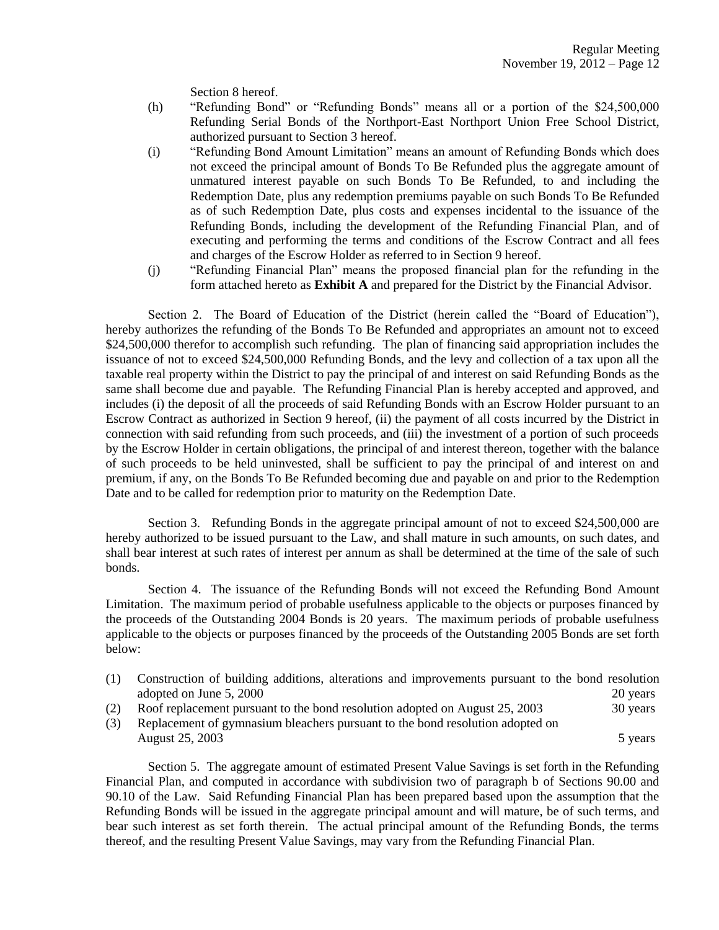Section 8 hereof.

- (h) "Refunding Bond" or "Refunding Bonds" means all or a portion of the \$24,500,000 Refunding Serial Bonds of the Northport-East Northport Union Free School District, authorized pursuant to Section 3 hereof.
- (i) "Refunding Bond Amount Limitation" means an amount of Refunding Bonds which does not exceed the principal amount of Bonds To Be Refunded plus the aggregate amount of unmatured interest payable on such Bonds To Be Refunded, to and including the Redemption Date, plus any redemption premiums payable on such Bonds To Be Refunded as of such Redemption Date, plus costs and expenses incidental to the issuance of the Refunding Bonds, including the development of the Refunding Financial Plan, and of executing and performing the terms and conditions of the Escrow Contract and all fees and charges of the Escrow Holder as referred to in Section 9 hereof.
- (j) "Refunding Financial Plan" means the proposed financial plan for the refunding in the form attached hereto as **Exhibit A** and prepared for the District by the Financial Advisor.

Section 2. The Board of Education of the District (herein called the "Board of Education"), hereby authorizes the refunding of the Bonds To Be Refunded and appropriates an amount not to exceed \$24,500,000 therefor to accomplish such refunding. The plan of financing said appropriation includes the issuance of not to exceed \$24,500,000 Refunding Bonds, and the levy and collection of a tax upon all the taxable real property within the District to pay the principal of and interest on said Refunding Bonds as the same shall become due and payable. The Refunding Financial Plan is hereby accepted and approved, and includes (i) the deposit of all the proceeds of said Refunding Bonds with an Escrow Holder pursuant to an Escrow Contract as authorized in Section 9 hereof, (ii) the payment of all costs incurred by the District in connection with said refunding from such proceeds, and (iii) the investment of a portion of such proceeds by the Escrow Holder in certain obligations, the principal of and interest thereon, together with the balance of such proceeds to be held uninvested, shall be sufficient to pay the principal of and interest on and premium, if any, on the Bonds To Be Refunded becoming due and payable on and prior to the Redemption Date and to be called for redemption prior to maturity on the Redemption Date.

Section 3. Refunding Bonds in the aggregate principal amount of not to exceed \$24,500,000 are hereby authorized to be issued pursuant to the Law, and shall mature in such amounts, on such dates, and shall bear interest at such rates of interest per annum as shall be determined at the time of the sale of such bonds.

Section 4. The issuance of the Refunding Bonds will not exceed the Refunding Bond Amount Limitation. The maximum period of probable usefulness applicable to the objects or purposes financed by the proceeds of the Outstanding 2004 Bonds is 20 years. The maximum periods of probable usefulness applicable to the objects or purposes financed by the proceeds of the Outstanding 2005 Bonds are set forth below:

- (1) Construction of building additions, alterations and improvements pursuant to the bond resolution adopted on June 5, 2000 20 years 20 years 20 years 20 years 20 years 20 years 20 years 20 years 20 years 20 years 20 years 20 years 20 years 20 years 20 years 20 years 20 years 20 years 20 years 20 years 20 years 20 years (2) Roof replacement pursuant to the bond resolution adopted on August 25, 2003 30 years
- (3) Replacement of gymnasium bleachers pursuant to the bond resolution adopted on August  $25, 2003$  5 years 5 years 5 years 5 years 5 years 5 years 5 years 5 years 5 years 5 years 5 years 5 years 5 years 5 years 5 years 5 years 5 years 5 years 5 years 5 years 5 years 5 years 5 years 5 years 5 years 5 y

Section 5. The aggregate amount of estimated Present Value Savings is set forth in the Refunding Financial Plan, and computed in accordance with subdivision two of paragraph b of Sections 90.00 and 90.10 of the Law. Said Refunding Financial Plan has been prepared based upon the assumption that the Refunding Bonds will be issued in the aggregate principal amount and will mature, be of such terms, and bear such interest as set forth therein. The actual principal amount of the Refunding Bonds, the terms thereof, and the resulting Present Value Savings, may vary from the Refunding Financial Plan.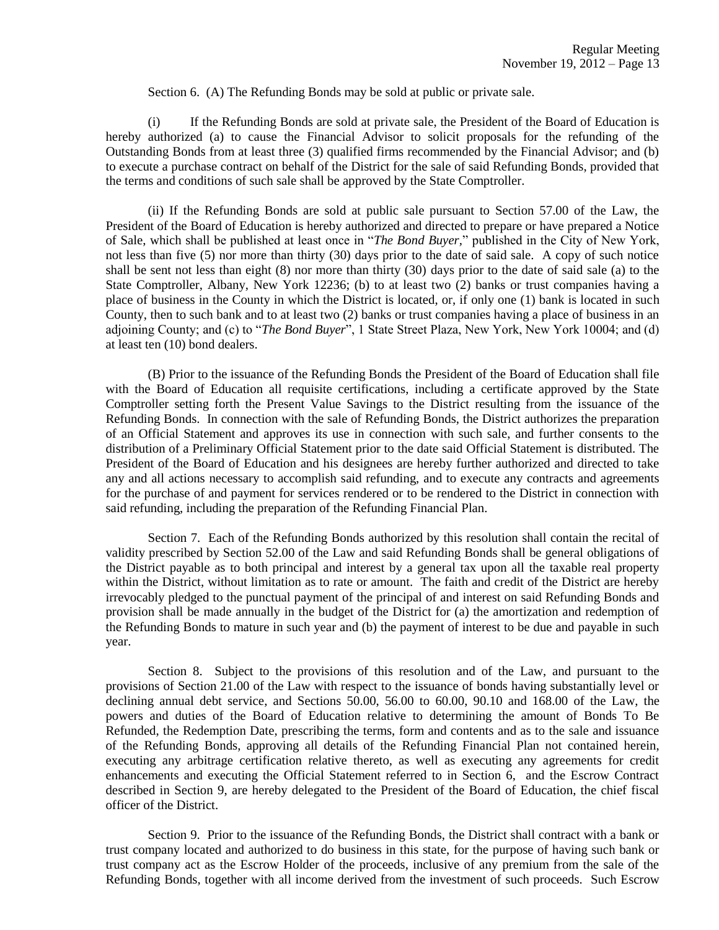Section 6. (A) The Refunding Bonds may be sold at public or private sale.

(i) If the Refunding Bonds are sold at private sale, the President of the Board of Education is hereby authorized (a) to cause the Financial Advisor to solicit proposals for the refunding of the Outstanding Bonds from at least three (3) qualified firms recommended by the Financial Advisor; and (b) to execute a purchase contract on behalf of the District for the sale of said Refunding Bonds, provided that the terms and conditions of such sale shall be approved by the State Comptroller.

(ii) If the Refunding Bonds are sold at public sale pursuant to Section 57.00 of the Law, the President of the Board of Education is hereby authorized and directed to prepare or have prepared a Notice of Sale, which shall be published at least once in "*The Bond Buyer,*" published in the City of New York, not less than five (5) nor more than thirty (30) days prior to the date of said sale. A copy of such notice shall be sent not less than eight (8) nor more than thirty (30) days prior to the date of said sale (a) to the State Comptroller, Albany, New York 12236; (b) to at least two (2) banks or trust companies having a place of business in the County in which the District is located, or, if only one (1) bank is located in such County, then to such bank and to at least two (2) banks or trust companies having a place of business in an adjoining County; and (c) to "*The Bond Buyer*", 1 State Street Plaza, New York, New York 10004; and (d) at least ten (10) bond dealers.

(B) Prior to the issuance of the Refunding Bonds the President of the Board of Education shall file with the Board of Education all requisite certifications, including a certificate approved by the State Comptroller setting forth the Present Value Savings to the District resulting from the issuance of the Refunding Bonds. In connection with the sale of Refunding Bonds, the District authorizes the preparation of an Official Statement and approves its use in connection with such sale, and further consents to the distribution of a Preliminary Official Statement prior to the date said Official Statement is distributed. The President of the Board of Education and his designees are hereby further authorized and directed to take any and all actions necessary to accomplish said refunding, and to execute any contracts and agreements for the purchase of and payment for services rendered or to be rendered to the District in connection with said refunding, including the preparation of the Refunding Financial Plan.

Section 7. Each of the Refunding Bonds authorized by this resolution shall contain the recital of validity prescribed by Section 52.00 of the Law and said Refunding Bonds shall be general obligations of the District payable as to both principal and interest by a general tax upon all the taxable real property within the District, without limitation as to rate or amount. The faith and credit of the District are hereby irrevocably pledged to the punctual payment of the principal of and interest on said Refunding Bonds and provision shall be made annually in the budget of the District for (a) the amortization and redemption of the Refunding Bonds to mature in such year and (b) the payment of interest to be due and payable in such year.

Section 8. Subject to the provisions of this resolution and of the Law, and pursuant to the provisions of Section 21.00 of the Law with respect to the issuance of bonds having substantially level or declining annual debt service, and Sections 50.00, 56.00 to 60.00, 90.10 and 168.00 of the Law, the powers and duties of the Board of Education relative to determining the amount of Bonds To Be Refunded, the Redemption Date, prescribing the terms, form and contents and as to the sale and issuance of the Refunding Bonds, approving all details of the Refunding Financial Plan not contained herein, executing any arbitrage certification relative thereto, as well as executing any agreements for credit enhancements and executing the Official Statement referred to in Section 6, and the Escrow Contract described in Section 9, are hereby delegated to the President of the Board of Education, the chief fiscal officer of the District.

Section 9. Prior to the issuance of the Refunding Bonds, the District shall contract with a bank or trust company located and authorized to do business in this state, for the purpose of having such bank or trust company act as the Escrow Holder of the proceeds, inclusive of any premium from the sale of the Refunding Bonds, together with all income derived from the investment of such proceeds. Such Escrow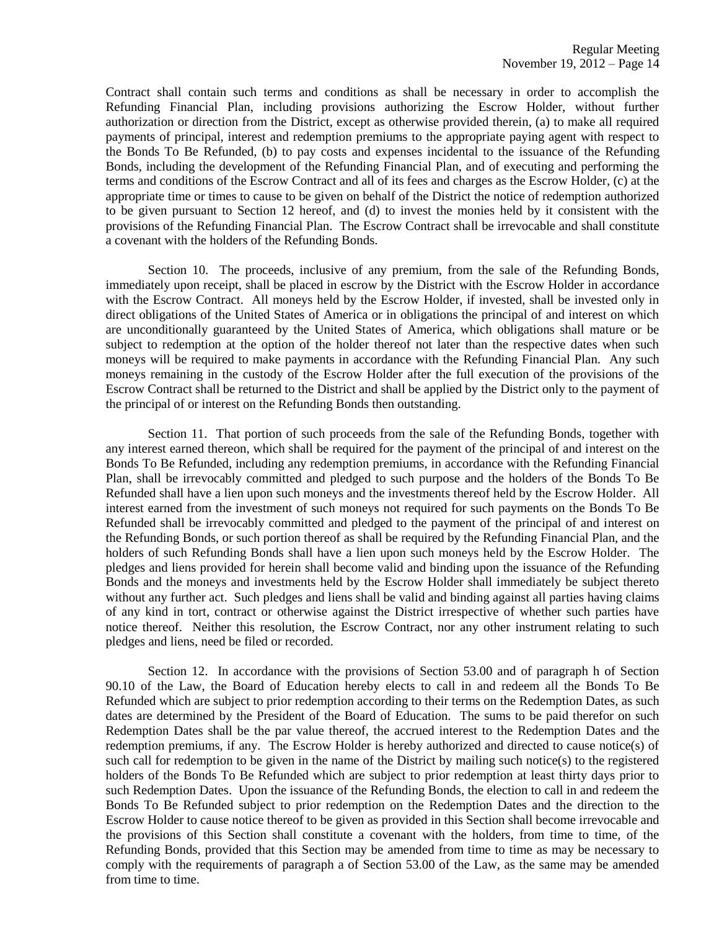Contract shall contain such terms and conditions as shall be necessary in order to accomplish the Refunding Financial Plan, including provisions authorizing the Escrow Holder, without further authorization or direction from the District, except as otherwise provided therein, (a) to make all required payments of principal, interest and redemption premiums to the appropriate paying agent with respect to the Bonds To Be Refunded, (b) to pay costs and expenses incidental to the issuance of the Refunding Bonds, including the development of the Refunding Financial Plan, and of executing and performing the terms and conditions of the Escrow Contract and all of its fees and charges as the Escrow Holder, (c) at the appropriate time or times to cause to be given on behalf of the District the notice of redemption authorized to be given pursuant to Section 12 hereof, and (d) to invest the monies held by it consistent with the provisions of the Refunding Financial Plan. The Escrow Contract shall be irrevocable and shall constitute a covenant with the holders of the Refunding Bonds.

Section 10. The proceeds, inclusive of any premium, from the sale of the Refunding Bonds, immediately upon receipt, shall be placed in escrow by the District with the Escrow Holder in accordance with the Escrow Contract. All moneys held by the Escrow Holder, if invested, shall be invested only in direct obligations of the United States of America or in obligations the principal of and interest on which are unconditionally guaranteed by the United States of America, which obligations shall mature or be subject to redemption at the option of the holder thereof not later than the respective dates when such moneys will be required to make payments in accordance with the Refunding Financial Plan. Any such moneys remaining in the custody of the Escrow Holder after the full execution of the provisions of the Escrow Contract shall be returned to the District and shall be applied by the District only to the payment of the principal of or interest on the Refunding Bonds then outstanding.

Section 11. That portion of such proceeds from the sale of the Refunding Bonds, together with any interest earned thereon, which shall be required for the payment of the principal of and interest on the Bonds To Be Refunded, including any redemption premiums, in accordance with the Refunding Financial Plan, shall be irrevocably committed and pledged to such purpose and the holders of the Bonds To Be Refunded shall have a lien upon such moneys and the investments thereof held by the Escrow Holder. All interest earned from the investment of such moneys not required for such payments on the Bonds To Be Refunded shall be irrevocably committed and pledged to the payment of the principal of and interest on the Refunding Bonds, or such portion thereof as shall be required by the Refunding Financial Plan, and the holders of such Refunding Bonds shall have a lien upon such moneys held by the Escrow Holder. The pledges and liens provided for herein shall become valid and binding upon the issuance of the Refunding Bonds and the moneys and investments held by the Escrow Holder shall immediately be subject thereto without any further act. Such pledges and liens shall be valid and binding against all parties having claims of any kind in tort, contract or otherwise against the District irrespective of whether such parties have notice thereof. Neither this resolution, the Escrow Contract, nor any other instrument relating to such pledges and liens, need be filed or recorded.

Section 12. In accordance with the provisions of Section 53.00 and of paragraph h of Section 90.10 of the Law, the Board of Education hereby elects to call in and redeem all the Bonds To Be Refunded which are subject to prior redemption according to their terms on the Redemption Dates, as such dates are determined by the President of the Board of Education. The sums to be paid therefor on such Redemption Dates shall be the par value thereof, the accrued interest to the Redemption Dates and the redemption premiums, if any. The Escrow Holder is hereby authorized and directed to cause notice(s) of such call for redemption to be given in the name of the District by mailing such notice(s) to the registered holders of the Bonds To Be Refunded which are subject to prior redemption at least thirty days prior to such Redemption Dates. Upon the issuance of the Refunding Bonds, the election to call in and redeem the Bonds To Be Refunded subject to prior redemption on the Redemption Dates and the direction to the Escrow Holder to cause notice thereof to be given as provided in this Section shall become irrevocable and the provisions of this Section shall constitute a covenant with the holders, from time to time, of the Refunding Bonds, provided that this Section may be amended from time to time as may be necessary to comply with the requirements of paragraph a of Section 53.00 of the Law, as the same may be amended from time to time.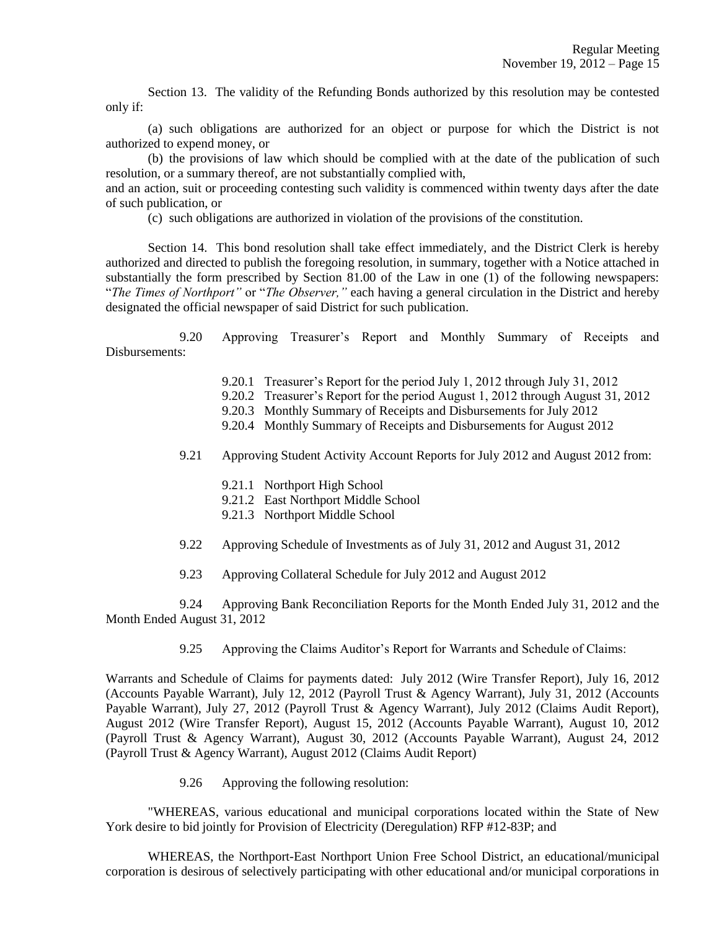Section 13. The validity of the Refunding Bonds authorized by this resolution may be contested only if:

(a) such obligations are authorized for an object or purpose for which the District is not authorized to expend money, or

(b) the provisions of law which should be complied with at the date of the publication of such resolution, or a summary thereof, are not substantially complied with,

and an action, suit or proceeding contesting such validity is commenced within twenty days after the date of such publication, or

(c) such obligations are authorized in violation of the provisions of the constitution.

Section 14. This bond resolution shall take effect immediately, and the District Clerk is hereby authorized and directed to publish the foregoing resolution, in summary, together with a Notice attached in substantially the form prescribed by Section 81.00 of the Law in one (1) of the following newspapers: "*The Times of Northport"* or "*The Observer,"* each having a general circulation in the District and hereby designated the official newspaper of said District for such publication.

9.20 Approving Treasurer's Report and Monthly Summary of Receipts and Disbursements:

- 9.20.1 Treasurer's Report for the period July 1, 2012 through July 31, 2012
- 9.20.2 Treasurer's Report for the period August 1, 2012 through August 31, 2012
- 9.20.3 Monthly Summary of Receipts and Disbursements for July 2012
- 9.20.4 Monthly Summary of Receipts and Disbursements for August 2012
- 9.21 Approving Student Activity Account Reports for July 2012 and August 2012 from:
	- 9.21.1 Northport High School
	- 9.21.2 East Northport Middle School
	- 9.21.3 Northport Middle School
- 9.22 Approving Schedule of Investments as of July 31, 2012 and August 31, 2012
- 9.23 Approving Collateral Schedule for July 2012 and August 2012

9.24 Approving Bank Reconciliation Reports for the Month Ended July 31, 2012 and the Month Ended August 31, 2012

9.25 Approving the Claims Auditor's Report for Warrants and Schedule of Claims:

Warrants and Schedule of Claims for payments dated: July 2012 (Wire Transfer Report), July 16, 2012 (Accounts Payable Warrant), July 12, 2012 (Payroll Trust & Agency Warrant), July 31, 2012 (Accounts Payable Warrant), July 27, 2012 (Payroll Trust & Agency Warrant), July 2012 (Claims Audit Report), August 2012 (Wire Transfer Report), August 15, 2012 (Accounts Payable Warrant), August 10, 2012 (Payroll Trust & Agency Warrant), August 30, 2012 (Accounts Payable Warrant), August 24, 2012 (Payroll Trust & Agency Warrant), August 2012 (Claims Audit Report)

9.26 Approving the following resolution:

"WHEREAS, various educational and municipal corporations located within the State of New York desire to bid jointly for Provision of Electricity (Deregulation) RFP #12-83P; and

WHEREAS, the Northport-East Northport Union Free School District, an educational/municipal corporation is desirous of selectively participating with other educational and/or municipal corporations in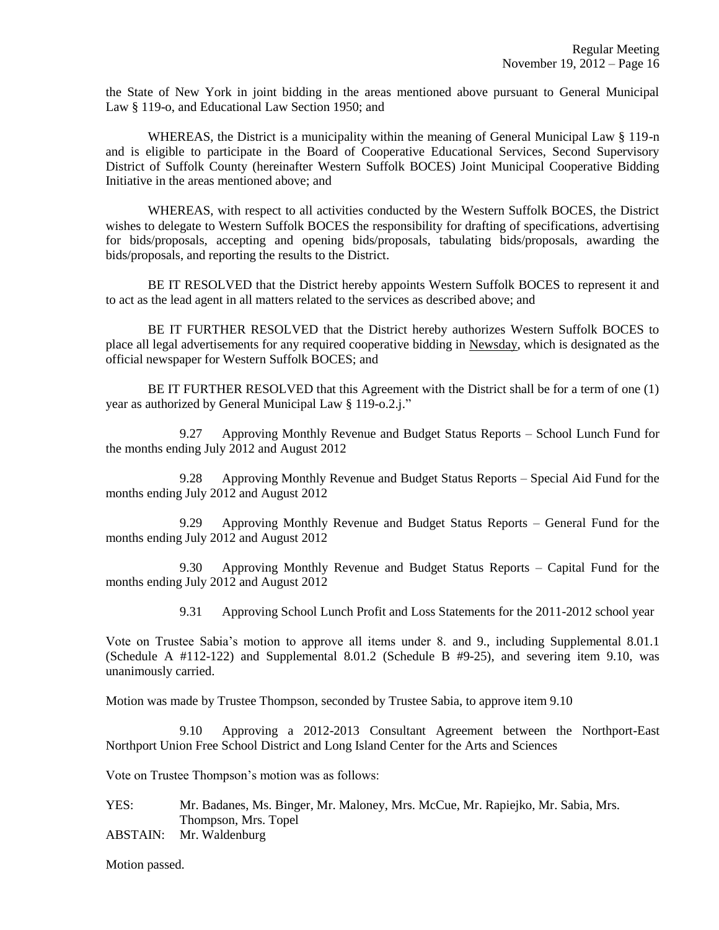the State of New York in joint bidding in the areas mentioned above pursuant to General Municipal Law § 119-o, and Educational Law Section 1950; and

WHEREAS, the District is a municipality within the meaning of General Municipal Law § 119-n and is eligible to participate in the Board of Cooperative Educational Services, Second Supervisory District of Suffolk County (hereinafter Western Suffolk BOCES) Joint Municipal Cooperative Bidding Initiative in the areas mentioned above; and

WHEREAS, with respect to all activities conducted by the Western Suffolk BOCES, the District wishes to delegate to Western Suffolk BOCES the responsibility for drafting of specifications, advertising for bids/proposals, accepting and opening bids/proposals, tabulating bids/proposals, awarding the bids/proposals, and reporting the results to the District.

BE IT RESOLVED that the District hereby appoints Western Suffolk BOCES to represent it and to act as the lead agent in all matters related to the services as described above; and

BE IT FURTHER RESOLVED that the District hereby authorizes Western Suffolk BOCES to place all legal advertisements for any required cooperative bidding in Newsday, which is designated as the official newspaper for Western Suffolk BOCES; and

BE IT FURTHER RESOLVED that this Agreement with the District shall be for a term of one (1) year as authorized by General Municipal Law § 119-o.2.j."

9.27 Approving Monthly Revenue and Budget Status Reports – School Lunch Fund for the months ending July 2012 and August 2012

9.28 Approving Monthly Revenue and Budget Status Reports – Special Aid Fund for the months ending July 2012 and August 2012

9.29 Approving Monthly Revenue and Budget Status Reports – General Fund for the months ending July 2012 and August 2012

9.30 Approving Monthly Revenue and Budget Status Reports – Capital Fund for the months ending July 2012 and August 2012

9.31 Approving School Lunch Profit and Loss Statements for the 2011-2012 school year

Vote on Trustee Sabia's motion to approve all items under 8. and 9., including Supplemental 8.01.1 (Schedule A  $\#112-122$ ) and Supplemental 8.01.2 (Schedule B  $\#9-25$ ), and severing item 9.10, was unanimously carried.

Motion was made by Trustee Thompson, seconded by Trustee Sabia, to approve item 9.10

9.10 Approving a 2012-2013 Consultant Agreement between the Northport-East Northport Union Free School District and Long Island Center for the Arts and Sciences

Vote on Trustee Thompson's motion was as follows:

YES: Mr. Badanes, Ms. Binger, Mr. Maloney, Mrs. McCue, Mr. Rapiejko, Mr. Sabia, Mrs. Thompson, Mrs. Topel

ABSTAIN: Mr. Waldenburg

Motion passed.